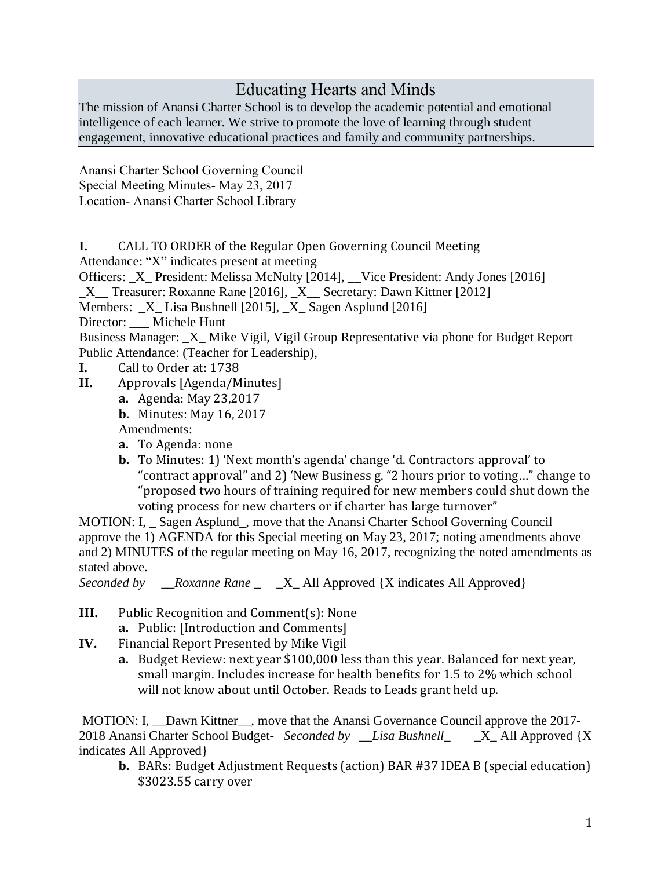## Educating Hearts and Minds

The mission of Anansi Charter School is to develop the academic potential and emotional intelligence of each learner. We strive to promote the love of learning through student engagement, innovative educational practices and family and community partnerships.

Anansi Charter School Governing Council Special Meeting Minutes- May 23, 2017 Location- Anansi Charter School Library

**I.** CALL TO ORDER of the Regular Open Governing Council Meeting

Attendance: "X" indicates present at meeting

Officers: \_X\_ President: Melissa McNulty [2014], \_\_Vice President: Andy Jones [2016]

X Treasurer: Roxanne Rane [2016], X Secretary: Dawn Kittner [2012]

Members: \_X\_ Lisa Bushnell [2015], \_X\_ Sagen Asplund [2016]

Director: Michele Hunt

Business Manager: \_X\_ Mike Vigil, Vigil Group Representative via phone for Budget Report Public Attendance: (Teacher for Leadership),

- **I.** Call to Order at: 1738
- **II.** Approvals [Agenda/Minutes]
	- **a.** Agenda: May 23,2017
	- **b.** Minutes: May 16, 2017

Amendments:

- **a.** To Agenda: none
- **b.** To Minutes: 1) 'Next month's agenda' change 'd. Contractors approval' to "contract approval" and 2) 'New Business g. "2 hours prior to voting…" change to "proposed two hours of training required for new members could shut down the voting process for new charters or if charter has large turnover"

MOTION: I, \_ Sagen Asplund\_, move that the Anansi Charter School Governing Council approve the 1) AGENDA for this Special meeting on May 23, 2017; noting amendments above and 2) MINUTES of the regular meeting on May 16, 2017, recognizing the noted amendments as stated above.

*Seconded by \_\_Roxanne Rane \_* \_X\_ All Approved {X indicates All Approved}

- **III.** Public Recognition and Comment(s): None **a.** Public: [Introduction and Comments]
- **IV.** Financial Report Presented by Mike Vigil
	- **a.** Budget Review: next year \$100,000 less than this year. Balanced for next year, small margin. Includes increase for health benefits for 1.5 to 2% which school will not know about until October. Reads to Leads grant held up.

MOTION: I, Dawn Kittner, move that the Anansi Governance Council approve the 2017-2018 Anansi Charter School Budget- *Seconded by \_\_Lisa Bushnell\_* \_X\_ All Approved {X indicates All Approved}

**b.** BARs: Budget Adjustment Requests (action) BAR #37 IDEA B (special education) \$3023.55 carry over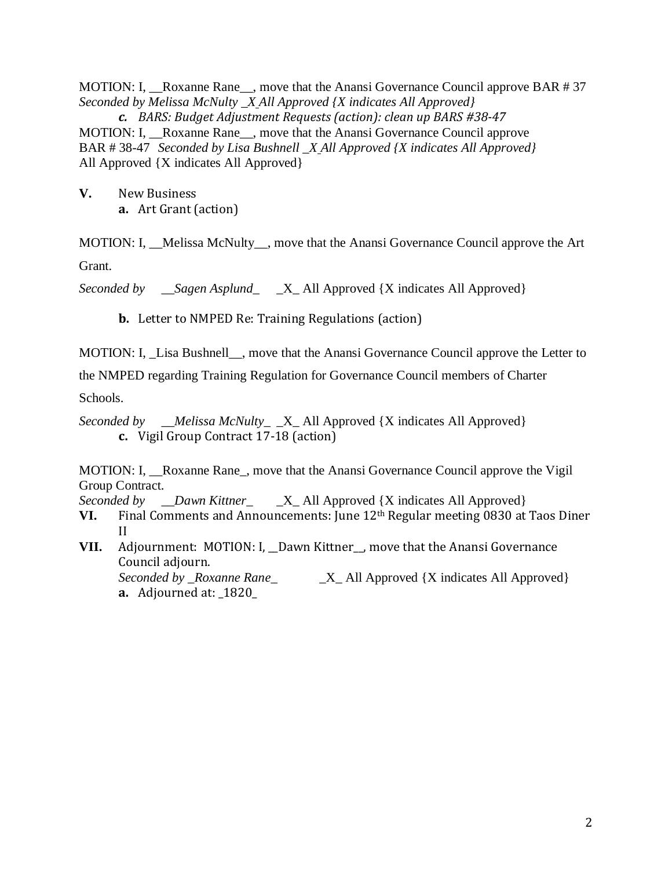MOTION: I, Roxanne Rane move that the Anansi Governance Council approve BAR # 37 *Seconded by Melissa McNulty \_X All Approved {X indicates All Approved}*

*c. BARS: Budget Adjustment Requests (action): clean up BARS #38-47* MOTION: I, \_\_Roxanne Rane\_\_, move that the Anansi Governance Council approve BAR # 38-47 *Seconded by Lisa Bushnell \_X All Approved {X indicates All Approved}* All Approved {X indicates All Approved}

**V.** New Business **a.** Art Grant (action)

MOTION: I, Melissa McNulty, move that the Anansi Governance Council approve the Art Grant.

*Seconded by \_\_Sagen Asplund\_* \_X\_ All Approved {X indicates All Approved}

**b.** Letter to NMPED Re: Training Regulations (action)

MOTION: I, Lisa Bushnell, move that the Anansi Governance Council approve the Letter to

the NMPED regarding Training Regulation for Governance Council members of Charter

Schools.

*Seconded by \_\_Melissa McNulty\_* \_X\_ All Approved {X indicates All Approved} **c.** Vigil Group Contract 17-18 (action)

MOTION: I, \_\_Roxanne Rane\_, move that the Anansi Governance Council approve the Vigil Group Contract.

*Seconded by \_\_Dawn Kittner\_* \_X\_ All Approved {X indicates All Approved}

- **VI.** Final Comments and Announcements: June 12th Regular meeting 0830 at Taos Diner II
- **VII.** Adjournment: MOTION: I, \_Dawn Kittner\_, move that the Anansi Governance Council adjourn. *Seconded by \_Roxanne Rane\_* \_X\_ All Approved {X indicates All Approved} **a.** Adjourned at: \_1820\_